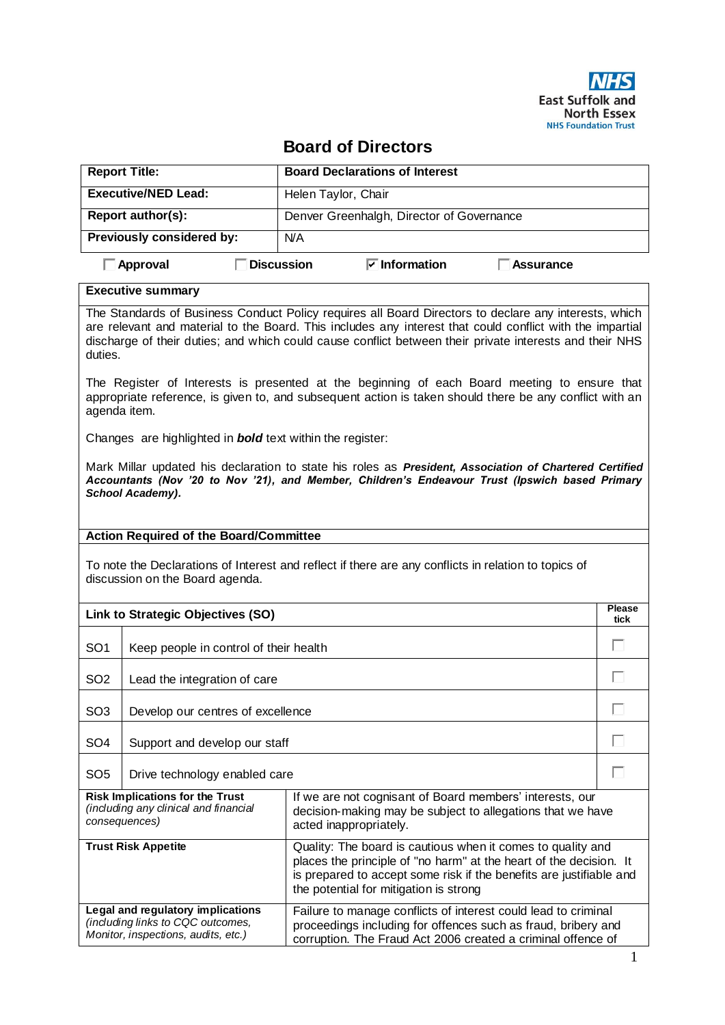

## **Board of Directors**

| <b>Report Title:</b>             | <b>Board Declarations of Interest</b>                         |  |  |
|----------------------------------|---------------------------------------------------------------|--|--|
| <b>Executive/NED Lead:</b>       | Helen Taylor, Chair                                           |  |  |
| Report author(s):                | Denver Greenhalgh, Director of Governance                     |  |  |
| <b>Previously considered by:</b> | N/A                                                           |  |  |
| Approval                         | $\triangledown$ Information<br><b>Discussion</b><br>Assurance |  |  |

## **Executive summary**

The Standards of Business Conduct Policy requires all Board Directors to declare any interests, which are relevant and material to the Board. This includes any interest that could conflict with the impartial discharge of their duties; and which could cause conflict between their private interests and their NHS duties.

The Register of Interests is presented at the beginning of each Board meeting to ensure that appropriate reference, is given to, and subsequent action is taken should there be any conflict with an agenda item.

Changes are highlighted in *bold* text within the register:

Mark Millar updated his declaration to state his roles as *President, Association of Chartered Certified Accountants (Nov '20 to Nov '21), and Member, Children's Endeavour Trust (Ipswich based Primary School Academy).* 

## **Action Required of the Board/Committee**

To note the Declarations of Interest and reflect if there are any conflicts in relation to topics of discussion on the Board agenda.

| Link to Strategic Objectives (SO)                                                                             |                                        |                                                                                                                                                                                                                                                    |  |  |
|---------------------------------------------------------------------------------------------------------------|----------------------------------------|----------------------------------------------------------------------------------------------------------------------------------------------------------------------------------------------------------------------------------------------------|--|--|
| SO <sub>1</sub>                                                                                               | Keep people in control of their health |                                                                                                                                                                                                                                                    |  |  |
| SO <sub>2</sub>                                                                                               | Lead the integration of care           |                                                                                                                                                                                                                                                    |  |  |
| SO <sub>3</sub>                                                                                               | Develop our centres of excellence      |                                                                                                                                                                                                                                                    |  |  |
| SO <sub>4</sub>                                                                                               | Support and develop our staff          |                                                                                                                                                                                                                                                    |  |  |
| SO <sub>5</sub>                                                                                               | Drive technology enabled care          |                                                                                                                                                                                                                                                    |  |  |
| <b>Risk Implications for the Trust</b><br>(including any clinical and financial<br>consequences)              |                                        | If we are not cognisant of Board members' interests, our<br>decision-making may be subject to allegations that we have<br>acted inappropriately.                                                                                                   |  |  |
| <b>Trust Risk Appetite</b>                                                                                    |                                        | Quality: The board is cautious when it comes to quality and<br>places the principle of "no harm" at the heart of the decision. It<br>is prepared to accept some risk if the benefits are justifiable and<br>the potential for mitigation is strong |  |  |
| Legal and regulatory implications<br>(including links to CQC outcomes,<br>Monitor, inspections, audits, etc.) |                                        | Failure to manage conflicts of interest could lead to criminal<br>proceedings including for offences such as fraud, bribery and<br>corruption. The Fraud Act 2006 created a criminal offence of                                                    |  |  |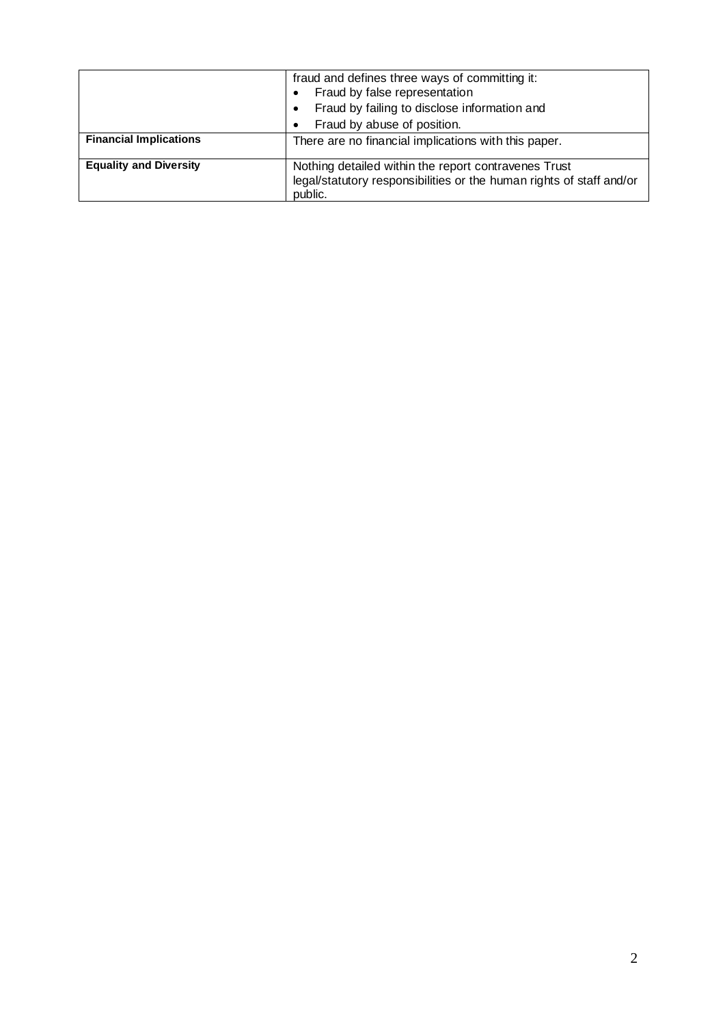|                               | fraud and defines three ways of committing it:<br>Fraud by false representation                                                         |  |  |  |  |
|-------------------------------|-----------------------------------------------------------------------------------------------------------------------------------------|--|--|--|--|
|                               | Fraud by failing to disclose information and                                                                                            |  |  |  |  |
|                               | Fraud by abuse of position.                                                                                                             |  |  |  |  |
| <b>Financial Implications</b> | There are no financial implications with this paper.                                                                                    |  |  |  |  |
| <b>Equality and Diversity</b> | Nothing detailed within the report contravenes Trust<br>legal/statutory responsibilities or the human rights of staff and/or<br>public. |  |  |  |  |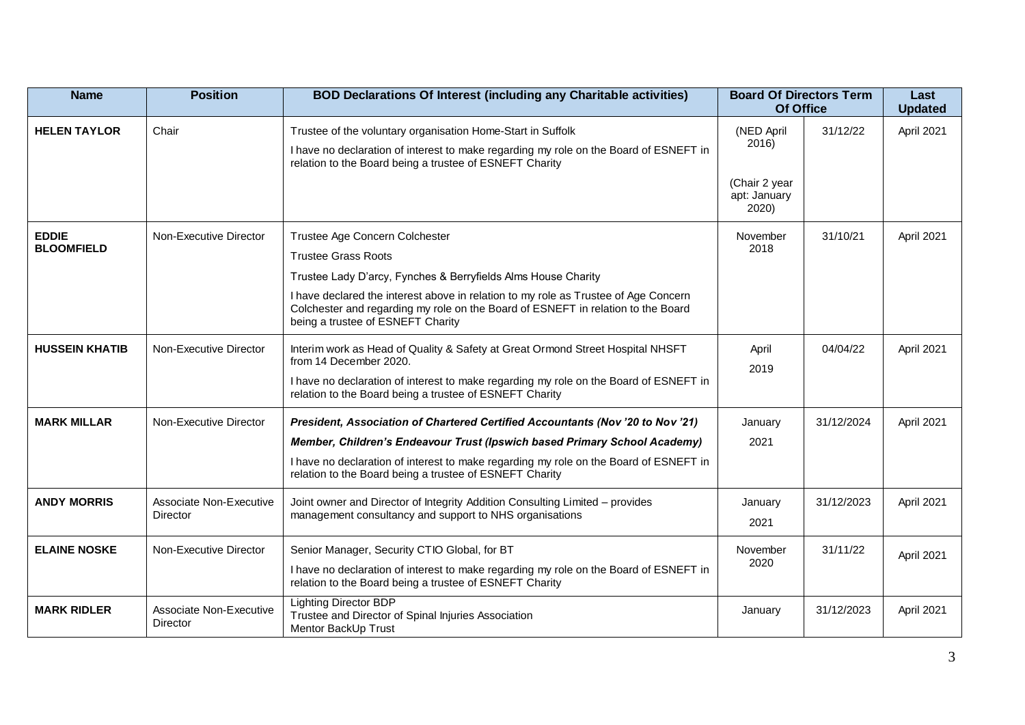| <b>Name</b>           | <b>Position</b>                            | <b>BOD Declarations Of Interest (including any Charitable activities)</b>                                                                                                                                    | <b>Board Of Directors Term</b><br>Of Office |            | Last<br><b>Updated</b> |
|-----------------------|--------------------------------------------|--------------------------------------------------------------------------------------------------------------------------------------------------------------------------------------------------------------|---------------------------------------------|------------|------------------------|
| <b>HELEN TAYLOR</b>   | Chair                                      | Trustee of the voluntary organisation Home-Start in Suffolk                                                                                                                                                  | (NED April                                  | 31/12/22   | April 2021             |
|                       |                                            | I have no declaration of interest to make regarding my role on the Board of ESNEFT in<br>relation to the Board being a trustee of ESNEFT Charity                                                             | 2016)                                       |            |                        |
|                       |                                            |                                                                                                                                                                                                              | (Chair 2 year<br>apt: January<br>2020)      |            |                        |
| <b>EDDIE</b>          | Non-Executive Director                     | Trustee Age Concern Colchester                                                                                                                                                                               | November                                    | 31/10/21   | April 2021             |
| <b>BLOOMFIELD</b>     |                                            | <b>Trustee Grass Roots</b>                                                                                                                                                                                   | 2018                                        |            |                        |
|                       |                                            | Trustee Lady D'arcy, Fynches & Berryfields Alms House Charity                                                                                                                                                |                                             |            |                        |
|                       |                                            | I have declared the interest above in relation to my role as Trustee of Age Concern<br>Colchester and regarding my role on the Board of ESNEFT in relation to the Board<br>being a trustee of ESNEFT Charity |                                             |            |                        |
| <b>HUSSEIN KHATIB</b> | Non-Executive Director                     | Interim work as Head of Quality & Safety at Great Ormond Street Hospital NHSFT<br>from 14 December 2020.                                                                                                     | April<br>2019                               | 04/04/22   | April 2021             |
|                       |                                            | I have no declaration of interest to make regarding my role on the Board of ESNEFT in<br>relation to the Board being a trustee of ESNEFT Charity                                                             |                                             |            |                        |
| <b>MARK MILLAR</b>    | Non-Executive Director                     | President, Association of Chartered Certified Accountants (Nov '20 to Nov '21)                                                                                                                               | January                                     | 31/12/2024 | April 2021             |
|                       |                                            | Member, Children's Endeavour Trust (Ipswich based Primary School Academy)                                                                                                                                    | 2021                                        |            |                        |
|                       |                                            | I have no declaration of interest to make regarding my role on the Board of ESNEFT in<br>relation to the Board being a trustee of ESNEFT Charity                                                             |                                             |            |                        |
| <b>ANDY MORRIS</b>    | Associate Non-Executive                    | Joint owner and Director of Integrity Addition Consulting Limited - provides                                                                                                                                 | January                                     | 31/12/2023 | April 2021             |
|                       | Director                                   | management consultancy and support to NHS organisations                                                                                                                                                      | 2021                                        |            |                        |
| <b>ELAINE NOSKE</b>   | Non-Executive Director                     | Senior Manager, Security CTIO Global, for BT                                                                                                                                                                 | November                                    | 31/11/22   | April 2021             |
|                       |                                            | I have no declaration of interest to make regarding my role on the Board of ESNEFT in<br>relation to the Board being a trustee of ESNEFT Charity                                                             | 2020                                        |            |                        |
| <b>MARK RIDLER</b>    | Associate Non-Executive<br><b>Director</b> | <b>Lighting Director BDP</b><br>Trustee and Director of Spinal Injuries Association<br>Mentor BackUp Trust                                                                                                   | January                                     | 31/12/2023 | April 2021             |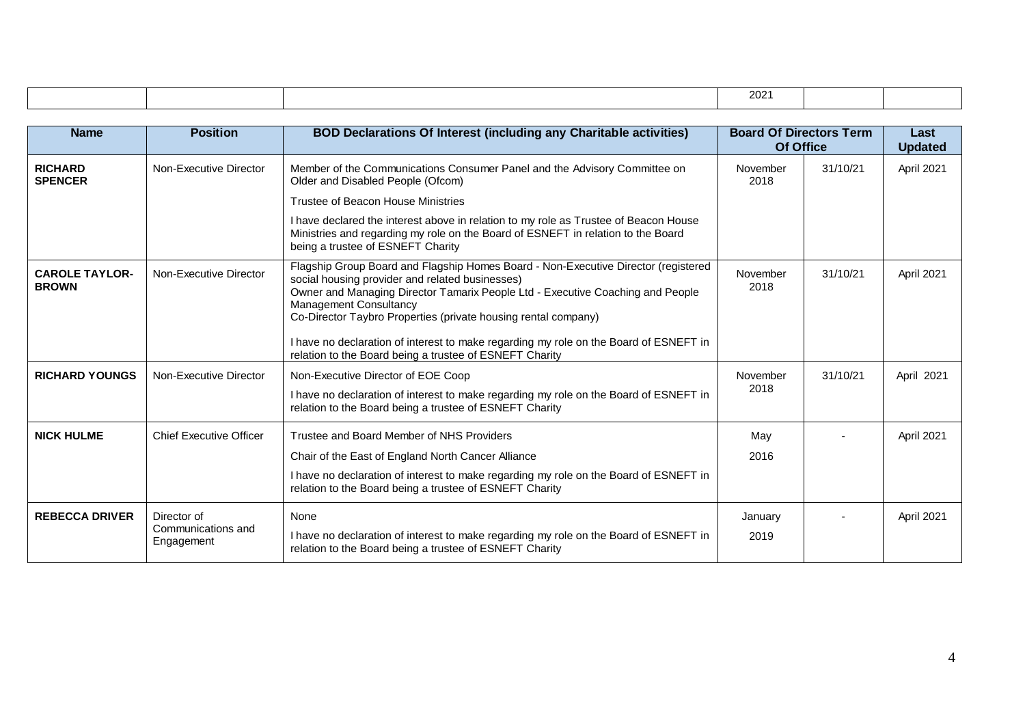|                                       |                                                 |                                                                                                                                                                                                                                                                                                                            | 2021                                        |          |                        |  |  |
|---------------------------------------|-------------------------------------------------|----------------------------------------------------------------------------------------------------------------------------------------------------------------------------------------------------------------------------------------------------------------------------------------------------------------------------|---------------------------------------------|----------|------------------------|--|--|
|                                       |                                                 |                                                                                                                                                                                                                                                                                                                            |                                             |          |                        |  |  |
| <b>Name</b>                           | <b>Position</b>                                 | <b>BOD Declarations Of Interest (including any Charitable activities)</b>                                                                                                                                                                                                                                                  | <b>Board Of Directors Term</b><br>Of Office |          | Last<br><b>Updated</b> |  |  |
| <b>RICHARD</b><br><b>SPENCER</b>      | Non-Executive Director                          | Member of the Communications Consumer Panel and the Advisory Committee on<br>Older and Disabled People (Ofcom)                                                                                                                                                                                                             | November<br>2018                            | 31/10/21 | April 2021             |  |  |
|                                       |                                                 | Trustee of Beacon House Ministries                                                                                                                                                                                                                                                                                         |                                             |          |                        |  |  |
|                                       |                                                 | I have declared the interest above in relation to my role as Trustee of Beacon House<br>Ministries and regarding my role on the Board of ESNEFT in relation to the Board<br>being a trustee of ESNEFT Charity                                                                                                              |                                             |          |                        |  |  |
| <b>CAROLE TAYLOR-</b><br><b>BROWN</b> | Non-Executive Director                          | Flagship Group Board and Flagship Homes Board - Non-Executive Director (registered<br>social housing provider and related businesses)<br>Owner and Managing Director Tamarix People Ltd - Executive Coaching and People<br><b>Management Consultancy</b><br>Co-Director Taybro Properties (private housing rental company) | November<br>2018                            | 31/10/21 | April 2021             |  |  |
|                                       |                                                 | I have no declaration of interest to make regarding my role on the Board of ESNEFT in<br>relation to the Board being a trustee of ESNEFT Charity                                                                                                                                                                           |                                             |          |                        |  |  |
| <b>RICHARD YOUNGS</b>                 | Non-Executive Director                          | Non-Executive Director of EOE Coop<br>I have no declaration of interest to make regarding my role on the Board of ESNEFT in<br>relation to the Board being a trustee of ESNEFT Charity                                                                                                                                     | November<br>2018                            | 31/10/21 | April 2021             |  |  |
| <b>NICK HULME</b>                     | <b>Chief Executive Officer</b>                  | Trustee and Board Member of NHS Providers<br>Chair of the East of England North Cancer Alliance<br>I have no declaration of interest to make regarding my role on the Board of ESNEFT in<br>relation to the Board being a trustee of ESNEFT Charity                                                                        | May<br>2016                                 |          | April 2021             |  |  |
| <b>REBECCA DRIVER</b>                 | Director of<br>Communications and<br>Engagement | None<br>I have no declaration of interest to make regarding my role on the Board of ESNEFT in<br>relation to the Board being a trustee of ESNEFT Charity                                                                                                                                                                   | January<br>2019                             |          | April 2021             |  |  |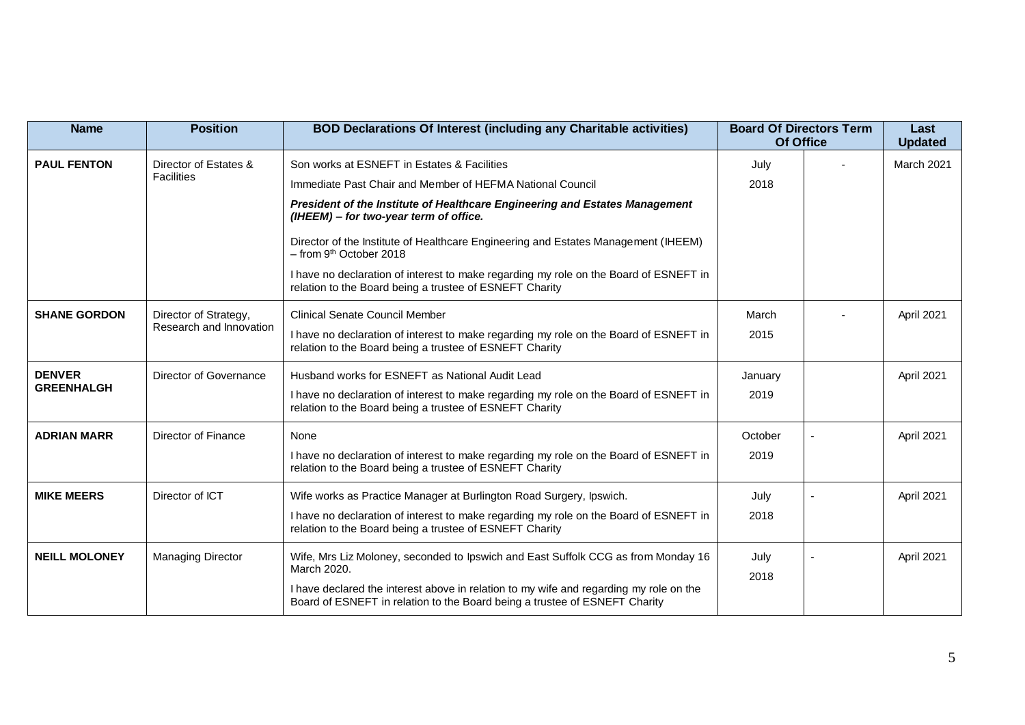| <b>Name</b>          | <b>Position</b>          | <b>BOD Declarations Of Interest (including any Charitable activities)</b>                                                                                            | <b>Board Of Directors Term</b><br>Of Office |  | Last<br><b>Updated</b> |
|----------------------|--------------------------|----------------------------------------------------------------------------------------------------------------------------------------------------------------------|---------------------------------------------|--|------------------------|
| <b>PAUL FENTON</b>   | Director of Estates &    | Son works at ESNEFT in Estates & Facilities                                                                                                                          | July                                        |  | March 2021             |
|                      | Facilities               | Immediate Past Chair and Member of HEFMA National Council                                                                                                            | 2018                                        |  |                        |
|                      |                          | President of the Institute of Healthcare Engineering and Estates Management<br>(IHEEM) - for two-year term of office.                                                |                                             |  |                        |
|                      |                          | Director of the Institute of Healthcare Engineering and Estates Management (IHEEM)<br>$-$ from 9 <sup>th</sup> October 2018                                          |                                             |  |                        |
|                      |                          | I have no declaration of interest to make regarding my role on the Board of ESNEFT in<br>relation to the Board being a trustee of ESNEFT Charity                     |                                             |  |                        |
| <b>SHANE GORDON</b>  | Director of Strategy,    | <b>Clinical Senate Council Member</b>                                                                                                                                | March                                       |  | April 2021             |
|                      | Research and Innovation  | I have no declaration of interest to make regarding my role on the Board of ESNEFT in<br>relation to the Board being a trustee of ESNEFT Charity                     | 2015                                        |  |                        |
| <b>DENVER</b>        | Director of Governance   | Husband works for ESNEFT as National Audit Lead                                                                                                                      | January                                     |  | April 2021             |
| <b>GREENHALGH</b>    |                          | I have no declaration of interest to make regarding my role on the Board of ESNEFT in<br>relation to the Board being a trustee of ESNEFT Charity                     | 2019                                        |  |                        |
| <b>ADRIAN MARR</b>   | Director of Finance      | None                                                                                                                                                                 | October                                     |  | April 2021             |
|                      |                          | I have no declaration of interest to make regarding my role on the Board of ESNEFT in<br>relation to the Board being a trustee of ESNEFT Charity                     | 2019                                        |  |                        |
| <b>MIKE MEERS</b>    | Director of ICT          | Wife works as Practice Manager at Burlington Road Surgery, Ipswich.                                                                                                  | July                                        |  | April 2021             |
|                      |                          | I have no declaration of interest to make regarding my role on the Board of ESNEFT in<br>relation to the Board being a trustee of ESNEFT Charity                     | 2018                                        |  |                        |
| <b>NEILL MOLONEY</b> | <b>Managing Director</b> | Wife, Mrs Liz Moloney, seconded to Ipswich and East Suffolk CCG as from Monday 16                                                                                    | July                                        |  | April 2021             |
|                      |                          | March 2020.                                                                                                                                                          | 2018                                        |  |                        |
|                      |                          | I have declared the interest above in relation to my wife and regarding my role on the<br>Board of ESNEFT in relation to the Board being a trustee of ESNEFT Charity |                                             |  |                        |